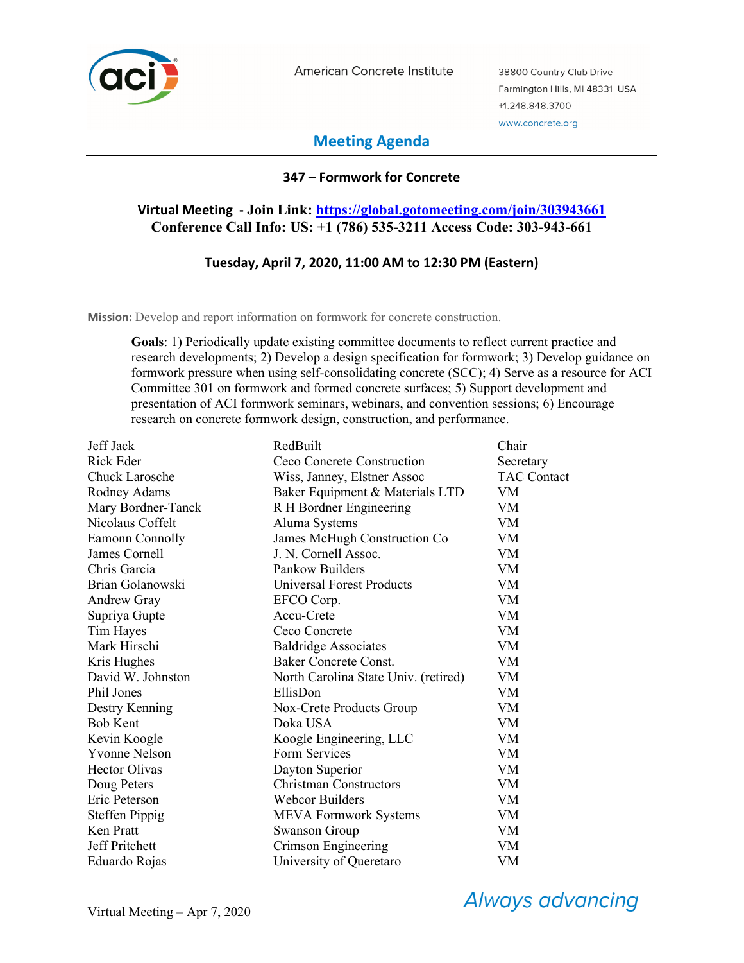

American Concrete Institute

38800 Country Club Drive Farmington Hills, MI 48331 USA +1.248.848.3700 www.concrete.org

# **Meeting Agenda**

## **347 – Formwork for Concrete**

## **Virtual Meeting - Join Link: https://global.gotomeeting.com/join/303943661 Conference Call Info: US: +1 (786) 535-3211 Access Code: 303-943-661**

## **Tuesday, April 7, 2020, 11:00 AM to 12:30 PM (Eastern)**

**Mission:** Develop and report information on formwork for concrete construction.

**Goals**: 1) Periodically update existing committee documents to reflect current practice and research developments; 2) Develop a design specification for formwork; 3) Develop guidance on formwork pressure when using self-consolidating concrete (SCC); 4) Serve as a resource for ACI Committee 301 on formwork and formed concrete surfaces; 5) Support development and presentation of ACI formwork seminars, webinars, and convention sessions; 6) Encourage research on concrete formwork design, construction, and performance.

| Jeff Jack             | RedBuilt                             | Chair              |
|-----------------------|--------------------------------------|--------------------|
| <b>Rick Eder</b>      | Ceco Concrete Construction           | Secretary          |
| <b>Chuck Larosche</b> | Wiss, Janney, Elstner Assoc          | <b>TAC Contact</b> |
| Rodney Adams          | Baker Equipment & Materials LTD      | VM.                |
| Mary Bordner-Tanck    | R H Bordner Engineering              | VM                 |
| Nicolaus Coffelt      | Aluma Systems                        | VM                 |
| Eamonn Connolly       | James McHugh Construction Co         | <b>VM</b>          |
| James Cornell         | J. N. Cornell Assoc.                 | VM                 |
| Chris Garcia          | Pankow Builders                      | VM                 |
| Brian Golanowski      | <b>Universal Forest Products</b>     | <b>VM</b>          |
| Andrew Gray           | EFCO Corp.                           | <b>VM</b>          |
| Supriya Gupte         | Accu-Crete                           | VM                 |
| Tim Hayes             | Ceco Concrete                        | <b>VM</b>          |
| Mark Hirschi          | <b>Baldridge Associates</b>          | VM                 |
| Kris Hughes           | <b>Baker Concrete Const.</b>         | VM                 |
| David W. Johnston     | North Carolina State Univ. (retired) | VM                 |
| Phil Jones            | EllisDon                             | VM                 |
| Destry Kenning        | Nox-Crete Products Group             | VM                 |
| <b>Bob Kent</b>       | Doka USA                             | <b>VM</b>          |
| Kevin Koogle          | Koogle Engineering, LLC              | VM                 |
| <b>Yvonne Nelson</b>  | Form Services                        | <b>VM</b>          |
| <b>Hector Olivas</b>  | Dayton Superior                      | <b>VM</b>          |
| Doug Peters           | Christman Constructors               | VM                 |
| Eric Peterson         | Webcor Builders                      | VM                 |
| <b>Steffen Pippig</b> | <b>MEVA Formwork Systems</b>         | VM                 |
| Ken Pratt             | <b>Swanson Group</b>                 | VM                 |
| Jeff Pritchett        | Crimson Engineering                  | VM.                |
| Eduardo Rojas         | University of Queretaro              | VM                 |

**Always advancing**